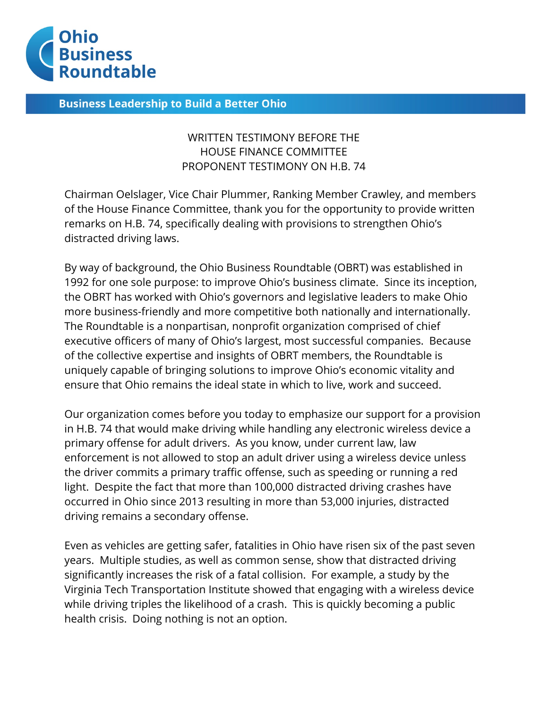

**Business Leadership to Build a Better Ohio** 

## WRITTEN TESTIMONY BEFORE THE HOUSE FINANCE COMMITTEE PROPONENT TESTIMONY ON H.B. 74

Chairman Oelslager, Vice Chair Plummer, Ranking Member Crawley, and members of the House Finance Committee, thank you for the opportunity to provide written remarks on H.B. 74, specifically dealing with provisions to strengthen Ohio's distracted driving laws.

By way of background, the Ohio Business Roundtable (OBRT) was established in 1992 for one sole purpose: to improve Ohio's business climate. Since its inception, the OBRT has worked with Ohio's governors and legislative leaders to make Ohio more business-friendly and more competitive both nationally and internationally. The Roundtable is a nonpartisan, nonprofit organization comprised of chief executive officers of many of Ohio's largest, most successful companies. Because of the collective expertise and insights of OBRT members, the Roundtable is uniquely capable of bringing solutions to improve Ohio's economic vitality and ensure that Ohio remains the ideal state in which to live, work and succeed.

Our organization comes before you today to emphasize our support for a provision in H.B. 74 that would make driving while handling any electronic wireless device a primary offense for adult drivers. As you know, under current law, law enforcement is not allowed to stop an adult driver using a wireless device unless the driver commits a primary traffic offense, such as speeding or running a red light. Despite the fact that more than 100,000 distracted driving crashes have occurred in Ohio since 2013 resulting in more than 53,000 injuries, distracted driving remains a secondary offense.

Even as vehicles are getting safer, fatalities in Ohio have risen six of the past seven years. Multiple studies, as well as common sense, show that distracted driving significantly increases the risk of a fatal collision. For example, a study by the Virginia Tech Transportation Institute showed that engaging with a wireless device while driving triples the likelihood of a crash. This is quickly becoming a public health crisis. Doing nothing is not an option.